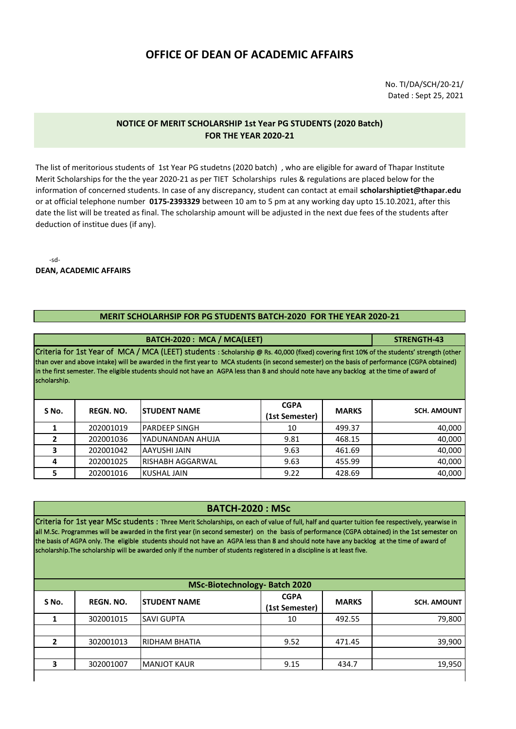## **OFFICE OF DEAN OF ACADEMIC AFFAIRS**

No. TI/DA/SCH/20-21/ Dated : Sept 25, 2021

## **NOTICE OF MERIT SCHOLARSHIP 1st Year PG STUDENTS (2020 Batch) FOR THE YEAR 2020-21**

The list of meritorious students of 1st Year PG studetns (2020 batch) , who are eligible for award of Thapar Institute Merit Scholarships for the the year 2020-21 as per TIET Scholarships rules & regulations are placed below for the information of concerned students. In case of any discrepancy, student can contact at email **scholarshiptiet@thapar.edu**  or at official telephone number **0175-2393329** between 10 am to 5 pm at any working day upto 15.10.2021, after this date the list will be treated as final. The scholarship amount will be adjusted in the next due fees of the students after deduction of institue dues (if any).

-sd-

**DEAN, ACADEMIC AFFAIRS**

## **MERIT SCHOLARHSIP FOR PG STUDENTS BATCH-2020 FOR THE YEAR 2020-21**

|                                                                                                                                                                                                                                                                                                                                                                                                                                                          |                  | BATCH-2020: MCA / MCA(LEET) |                               |              | STRENGTH-43        |  |  |  |
|----------------------------------------------------------------------------------------------------------------------------------------------------------------------------------------------------------------------------------------------------------------------------------------------------------------------------------------------------------------------------------------------------------------------------------------------------------|------------------|-----------------------------|-------------------------------|--------------|--------------------|--|--|--|
| Criteria for 1st Year of MCA / MCA (LEET) students : Scholarship @ Rs. 40,000 (fixed) covering first 10% of the students' strength (other<br>than over and above intake) will be awarded in the first year to MCA students (in second semester) on the basis of performance (CGPA obtained)<br>in the first semester. The eligible students should not have an AGPA less than 8 and should note have any backlog at the time of award of<br>scholarship. |                  |                             |                               |              |                    |  |  |  |
| S No.                                                                                                                                                                                                                                                                                                                                                                                                                                                    | <b>REGN. NO.</b> | <b>STUDENT NAME</b>         | <b>CGPA</b><br>(1st Semester) | <b>MARKS</b> | <b>SCH. AMOUNT</b> |  |  |  |
|                                                                                                                                                                                                                                                                                                                                                                                                                                                          | 202001019        | <b>PARDEEP SINGH</b>        | 10                            | 499.37       | 40,000             |  |  |  |
|                                                                                                                                                                                                                                                                                                                                                                                                                                                          | 202001036        | YADUNANDAN AHUJA            | 9.81                          | 468.15       | 40,000             |  |  |  |
| 3                                                                                                                                                                                                                                                                                                                                                                                                                                                        | 202001042        | AAYUSHI JAIN                | 9.63                          | 461.69       | 40,000             |  |  |  |
| 4                                                                                                                                                                                                                                                                                                                                                                                                                                                        | 202001025        | <b>RISHABH AGGARWAL</b>     | 9.63                          | 455.99       | 40,000             |  |  |  |
| 5                                                                                                                                                                                                                                                                                                                                                                                                                                                        | 202001016        | <b>KUSHAL JAIN</b>          | 9.22                          | 428.69       | 40,000             |  |  |  |

## **BATCH-2020 : MSc**

Criteria for 1st year MSc students : Three Merit Scholarships, on each of value of full, half and quarter tuition fee respectively, yearwise in all M.Sc. Programmes will be awarded in the first year (in second semester) on the basis of performance (CGPA obtained) in the 1st semester on the basis of AGPA only. The eligible students should not have an AGPA less than 8 and should note have any backlog at the time of award of scholarship.The scholarship will be awarded only if the number of students registered in a discipline is at least five.

|       | <b>MSc-Biotechnology- Batch 2020</b> |                      |                               |              |                    |  |  |  |
|-------|--------------------------------------|----------------------|-------------------------------|--------------|--------------------|--|--|--|
| S No. | <b>REGN. NO.</b>                     | <b>ISTUDENT NAME</b> | <b>CGPA</b><br>(1st Semester) | <b>MARKS</b> | <b>SCH. AMOUNT</b> |  |  |  |
|       | 302001015                            | <b>SAVI GUPTA</b>    | 10                            | 492.55       | 79,800             |  |  |  |
|       |                                      |                      |                               |              |                    |  |  |  |
| 2     | 302001013                            | RIDHAM BHATIA        | 9.52                          | 471.45       | 39,900             |  |  |  |
|       | 302001007                            | <b>MANJOT KAUR</b>   | 9.15                          | 434.7        | 19,950             |  |  |  |